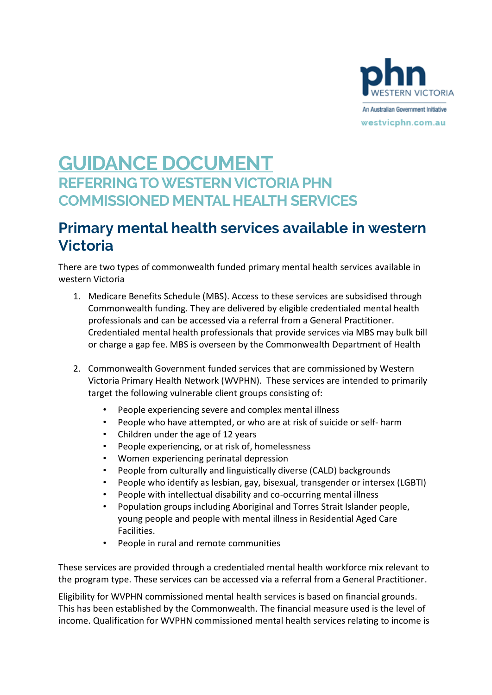

# **GUIDANCE DOCUMENT REFERRING TO WESTERN VICTORIA PHN COMMISSIONED MENTAL HEALTH SERVICES**

### **Primary mental health services available in western Victoria**

There are two types of commonwealth funded primary mental health services available in western Victoria

- 1. Medicare Benefits Schedule (MBS). Access to these services are subsidised through Commonwealth funding. They are delivered by eligible credentialed mental health professionals and can be accessed via a referral from a General Practitioner. Credentialed mental health professionals that provide services via MBS may bulk bill or charge a gap fee. MBS is overseen by the Commonwealth Department of Health
- 2. Commonwealth Government funded services that are commissioned by Western Victoria Primary Health Network (WVPHN). These services are intended to primarily target the following vulnerable client groups consisting of:
	- People experiencing severe and complex mental illness
	- People who have attempted, or who are at risk of suicide or self- harm
	- Children under the age of 12 years
	- People experiencing, or at risk of, homelessness
	- Women experiencing perinatal depression
	- People from culturally and linguistically diverse (CALD) backgrounds
	- People who identify as lesbian, gay, bisexual, transgender or intersex (LGBTI)
	- People with intellectual disability and co-occurring mental illness
	- Population groups including Aboriginal and Torres Strait Islander people, young people and people with mental illness in Residential Aged Care Facilities.
	- People in rural and remote communities

These services are provided through a credentialed mental health workforce mix relevant to the program type. These services can be accessed via a referral from a General Practitioner.

Eligibility for WVPHN commissioned mental health services is based on financial grounds. This has been established by the Commonwealth. The financial measure used is the level of income. Qualification for WVPHN commissioned mental health services relating to income is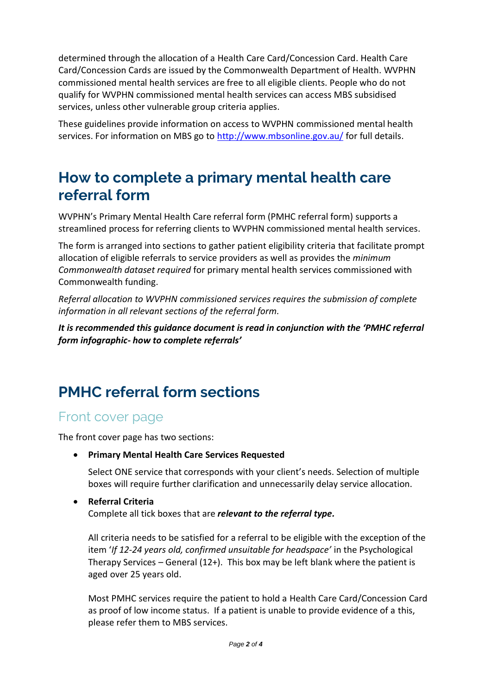determined through the allocation of a Health Care Card/Concession Card. Health Care Card/Concession Cards are issued by the Commonwealth Department of Health. WVPHN commissioned mental health services are free to all eligible clients. People who do not qualify for WVPHN commissioned mental health services can access MBS subsidised services, unless other vulnerable group criteria applies.

These guidelines provide information on access to WVPHN commissioned mental health services. For information on MBS go to<http://www.mbsonline.gov.au/> for full details.

## **How to complete a primary mental health care referral form**

WVPHN's Primary Mental Health Care referral form (PMHC referral form) supports a streamlined process for referring clients to WVPHN commissioned mental health services.

The form is arranged into sections to gather patient eligibility criteria that facilitate prompt allocation of eligible referrals to service providers as well as provides the *minimum Commonwealth dataset required* for primary mental health services commissioned with Commonwealth funding.

*Referral allocation to WVPHN commissioned services requires the submission of complete information in all relevant sections of the referral form.* 

*It is recommended this guidance document is read in conjunction with the 'PMHC referral form infographic- how to complete referrals'*

# **PMHC referral form sections**

### Front cover page

The front cover page has two sections:

• **Primary Mental Health Care Services Requested**

Select ONE service that corresponds with your client's needs. Selection of multiple boxes will require further clarification and unnecessarily delay service allocation.

#### • **Referral Criteria**

Complete all tick boxes that are *relevant to the referral type.*

All criteria needs to be satisfied for a referral to be eligible with the exception of the item '*If 12-24 years old, confirmed unsuitable for headspace'* in the Psychological Therapy Services – General (12+). This box may be left blank where the patient is aged over 25 years old.

Most PMHC services require the patient to hold a Health Care Card/Concession Card as proof of low income status. If a patient is unable to provide evidence of a this, please refer them to MBS services.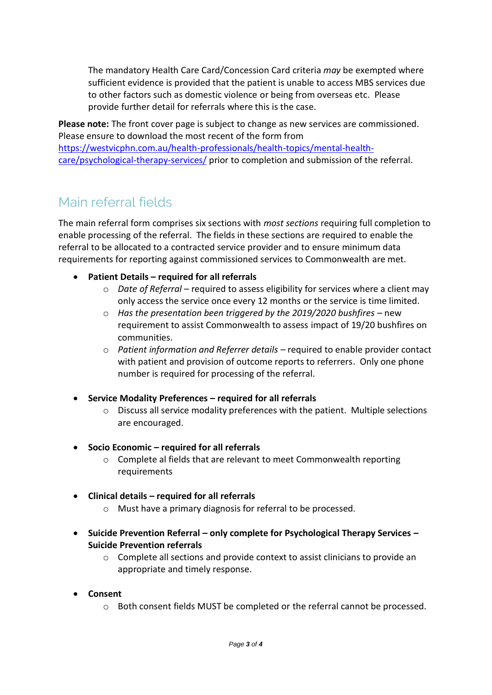The mandatory Health Care Card/Concession Card criteria *may* be exempted where sufficient evidence is provided that the patient is unable to access MBS services due to other factors such as domestic violence or being from overseas etc. Please provide further detail for referrals where this is the case.

**Please note:** The front cover page is subject to change as new services are commissioned. Please ensure to download the most recent of the form from [https://westvicphn.com.au/health-professionals/health-topics/mental-health](https://westvicphn.com.au/health-professionals/health-topics/mental-health-care/psychological-therapy-services/)[care/psychological-therapy-services/](https://westvicphn.com.au/health-professionals/health-topics/mental-health-care/psychological-therapy-services/) prior to completion and submission of the referral.

### Main referral fields

The main referral form comprises six sections with *most sections* requiring full completion to enable processing of the referral. The fields in these sections are required to enable the referral to be allocated to a contracted service provider and to ensure minimum data requirements for reporting against commissioned services to Commonwealth are met.

- **Patient Details – required for all referrals**
	- o *Date of Referral* required to assess eligibility for services where a client may only access the service once every 12 months or the service is time limited.
	- o *Has the presentation been triggered by the 2019/2020 bushfires* new requirement to assist Commonwealth to assess impact of 19/20 bushfires on communities.
	- o *Patient information and Referrer details*  required to enable provider contact with patient and provision of outcome reports to referrers. Only one phone number is required for processing of the referral.
- **Service Modality Preferences – required for all referrals**
	- o Discuss all service modality preferences with the patient. Multiple selections are encouraged.
- **Socio Economic – required for all referrals**
	- o Complete al fields that are relevant to meet Commonwealth reporting requirements
- **Clinical details – required for all referrals**
	- o Must have a primary diagnosis for referral to be processed.
- **Suicide Prevention Referral – only complete for Psychological Therapy Services – Suicide Prevention referrals**
	- $\circ$  Complete all sections and provide context to assist clinicians to provide an appropriate and timely response.
- **Consent**
	- o Both consent fields MUST be completed or the referral cannot be processed.